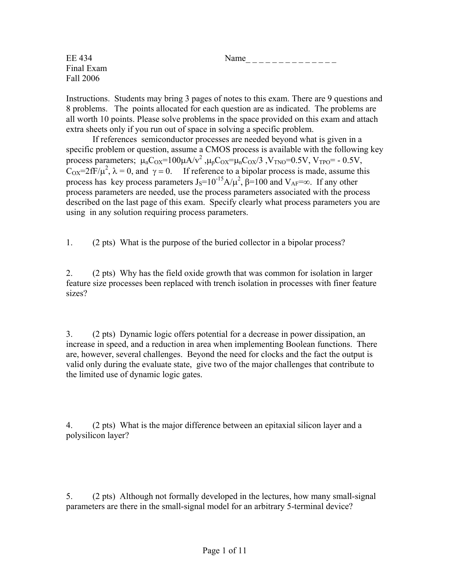$\text{E}E\ 434$  Name \_\_\_\_\_\_\_\_\_\_\_\_\_ Final Exam Fall 2006

Instructions. Students may bring 3 pages of notes to this exam. There are 9 questions and 8 problems. The points allocated for each question are as indicated. The problems are all worth 10 points. Please solve problems in the space provided on this exam and attach extra sheets only if you run out of space in solving a specific problem.

 If references semiconductor processes are needed beyond what is given in a specific problem or question, assume a CMOS process is available with the following key process parameters;  $\mu_n C_{OX} = 100\mu A/v^2$ ,  $\mu_p C_{OX} = \mu_n C_{OX}/3$ ,  $V_{TNO} = 0.5V$ ,  $V_{TPO} = -0.5V$ ,  $C_{OX} = 2fF/\mu^2$ ,  $\lambda = 0$ , and  $\gamma = 0$ . If reference to a bipolar process is made, assume this process has key process parameters  $J_s=10^{-15}A/\mu^2$ ,  $\beta=100$  and  $V_{AF}=\infty$ . If any other process parameters are needed, use the process parameters associated with the process described on the last page of this exam. Specify clearly what process parameters you are using in any solution requiring process parameters.

1. (2 pts) What is the purpose of the buried collector in a bipolar process?

2. (2 pts) Why has the field oxide growth that was common for isolation in larger feature size processes been replaced with trench isolation in processes with finer feature sizes?

3. (2 pts) Dynamic logic offers potential for a decrease in power dissipation, an increase in speed, and a reduction in area when implementing Boolean functions. There are, however, several challenges. Beyond the need for clocks and the fact the output is valid only during the evaluate state, give two of the major challenges that contribute to the limited use of dynamic logic gates.

4. (2 pts) What is the major difference between an epitaxial silicon layer and a polysilicon layer?

5. (2 pts) Although not formally developed in the lectures, how many small-signal parameters are there in the small-signal model for an arbitrary 5-terminal device?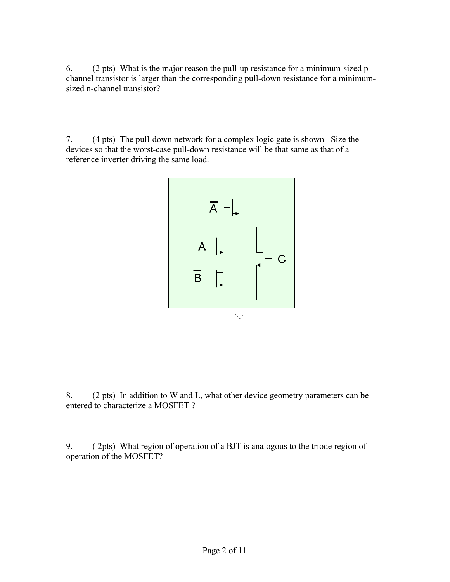6. (2 pts) What is the major reason the pull-up resistance for a minimum-sized pchannel transistor is larger than the corresponding pull-down resistance for a minimumsized n-channel transistor?

7. (4 pts) The pull-down network for a complex logic gate is shown Size the devices so that the worst-case pull-down resistance will be that same as that of a reference inverter driving the same load.



8. (2 pts) In addition to W and L, what other device geometry parameters can be entered to characterize a MOSFET ?

9. ( 2pts) What region of operation of a BJT is analogous to the triode region of operation of the MOSFET?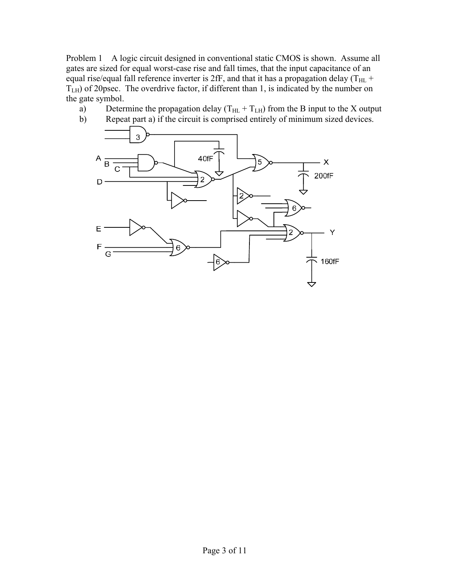Problem 1 A logic circuit designed in conventional static CMOS is shown. Assume all gates are sized for equal worst-case rise and fall times, that the input capacitance of an equal rise/equal fall reference inverter is 2fF, and that it has a propagation delay (T<sub>HL</sub> +  $T<sub>LH</sub>$ ) of 20psec. The overdrive factor, if different than 1, is indicated by the number on the gate symbol.

- a) Determine the propagation delay  $(T_{HL} + T_{LH})$  from the B input to the X output
- b) Repeat part a) if the circuit is comprised entirely of minimum sized devices.

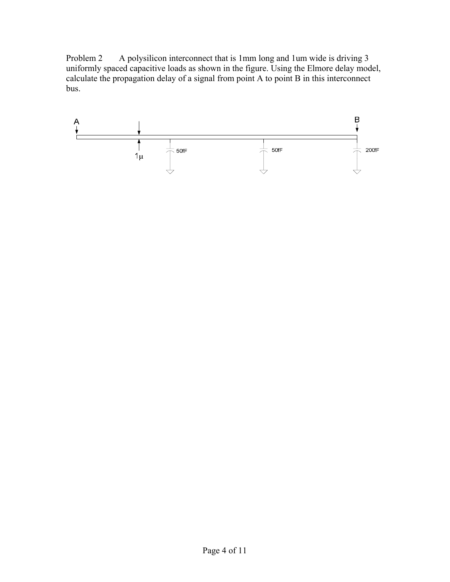Problem 2 A polysilicon interconnect that is 1mm long and 1um wide is driving 3 uniformly spaced capacitive loads as shown in the figure. Using the Elmore delay model, calculate the propagation delay of a signal from point A to point B in this interconnect bus.

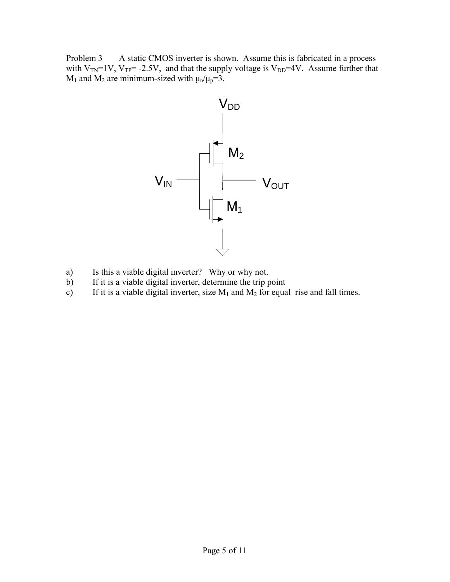Problem 3 A static CMOS inverter is shown. Assume this is fabricated in a process with  $V_{TN}=1V$ ,  $V_{TP}= -2.5V$ , and that the supply voltage is  $V_{DD}=4V$ . Assume further that  $M_1$  and  $M_2$  are minimum-sized with  $\mu_n/\mu_p=3$ .



- a) Is this a viable digital inverter? Why or why not.
- b) If it is a viable digital inverter, determine the trip point
- c) If it is a viable digital inverter, size  $M_1$  and  $M_2$  for equal rise and fall times.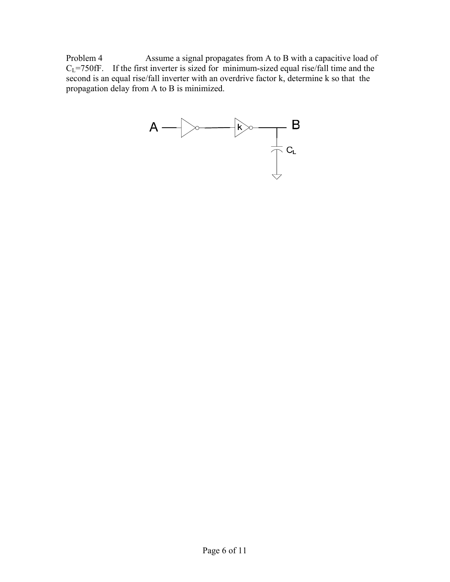Problem 4 Assume a signal propagates from A to B with a capacitive load of  $C_L$ =750fF. If the first inverter is sized for minimum-sized equal rise/fall time and the second is an equal rise/fall inverter with an overdrive factor k, determine k so that the propagation delay from A to B is minimized.

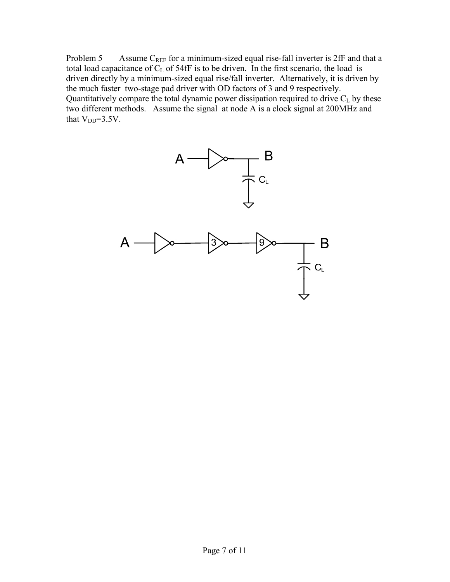Problem 5 Assume  $C_{REF}$  for a minimum-sized equal rise-fall inverter is 2fF and that a total load capacitance of  $C_L$  of 54fF is to be driven. In the first scenario, the load is driven directly by a minimum-sized equal rise/fall inverter. Alternatively, it is driven by the much faster two-stage pad driver with OD factors of 3 and 9 respectively. Quantitatively compare the total dynamic power dissipation required to drive  $C_L$  by these two different methods. Assume the signal at node A is a clock signal at 200MHz and that  $V_{DD} = 3.5V$ .

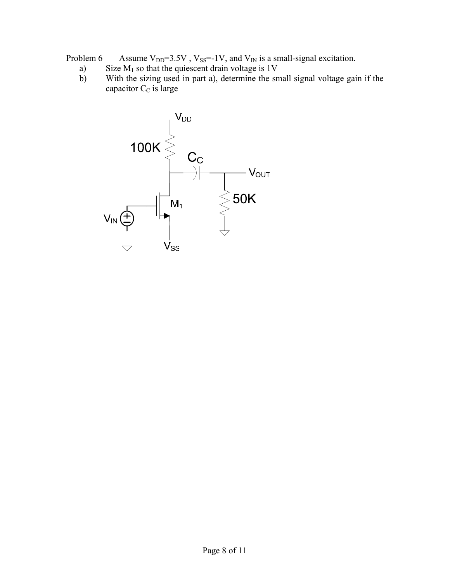Problem 6 Assume  $V_{DD}$ =3.5V,  $V_{SS}$ =-1V, and  $V_{IN}$  is a small-signal excitation.

- a) Size  $M_1$  so that the quiescent drain voltage is 1V
- b) With the sizing used in part a), determine the small signal voltage gain if the capacitor  $C_C$  is large

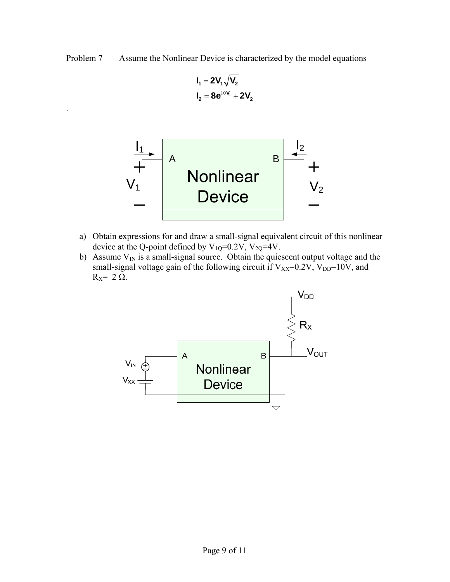Problem 7 Assume the Nonlinear Device is characterized by the model equations

$$
\begin{aligned} \boldsymbol{I}_1 &= 2\boldsymbol{V}_1\sqrt{\boldsymbol{V}_2}\\ \boldsymbol{I}_2 &= 8\boldsymbol{e}^{10\boldsymbol{V}_1} + 2\boldsymbol{V}_2 \end{aligned}
$$

.



- a) Obtain expressions for and draw a small-signal equivalent circuit of this nonlinear device at the Q-point defined by  $V_{1Q}$ =0.2V,  $V_{2Q}$ =4V.
- b) Assume  $V_{IN}$  is a small-signal source. Obtain the quiescent output voltage and the small-signal voltage gain of the following circuit if  $V_{XX}=0.2V$ ,  $V_{DD}=10V$ , and  $R_X$ = 2 Ω.

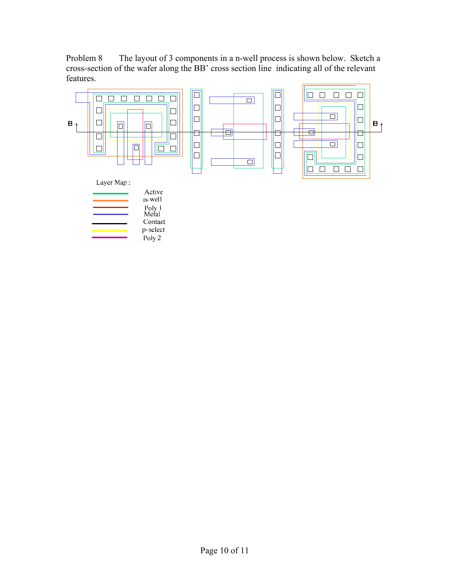Problem 8 The layout of 3 components in a n-well process is shown below. Sketch a cross-section of the wafer along the BB' cross section line indicating all of the relevant features.